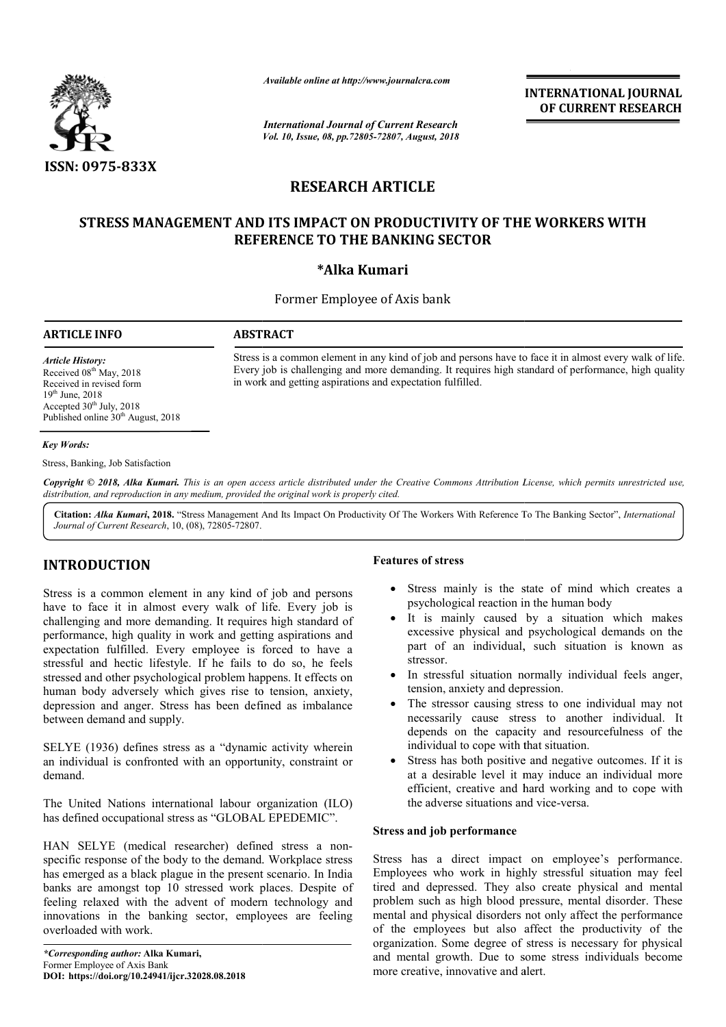

*Available online at http://www.journalcra.com*

*International Journal of Current Research Vol. 10, Issue, 08, pp.72805-72807, August, 2018* **INTERNATIONAL JOURNAL OF CURRENT RESEARCH**

# **RESEARCH ARTICLE**

# **STRESS MANAGEMENT AND ITS IMPACT ON PRODUCTIVITY OF THE WORKERS WITH OF THE WORKERS REFERENCE TO THE BANKING SECTOR**

# **\*Alka Kumari**

Former Employee of Axis bank

## **ARTICLE INFO ABSTRACT**

Stress is a common element in any kind of job and persons have to face it in almost every walk of life. Stress is a common element in any kind of job and persons have to face it in almost every walk of life.<br>Every job is challenging and more demanding. It requires high standard of performance, high quality in work and getting aspirations and expectation fulfilled.

*Article History:* Received 08<sup>th</sup> May, 2018 Received in revised form 19th June, 2018 Accepted  $30<sup>th</sup>$  July, 2018 Published online 30<sup>th</sup> August, 2018

## *Key Words:*

Stress, Banking, Job Satisfaction

Copyright © 2018, Alka Kumari. This is an open access article distributed under the Creative Commons Attribution License, which permits unrestricted use, *distribution, and reproduction in any medium, provided the original work is properly cited.*

Citation: *Alka Kumari*, 2018. "Stress Management And Its Impact On Productivity Of The Workers With Reference To The Banking Sector", *International Journal of Current Research*, 10, (08), 72805-72807.

# **INTRODUCTION**

Stress is a common element in any kind of job and persons have to face it in almost every walk of life. Every job is challenging and more demanding. It requires high standard of performance, high quality in work and getting aspirations and expectation fulfilled. Every employee is forced to have a stressful and hectic lifestyle. If he fails to do so, he feels stressed and other psychological problem happens. It effects on human body adversely which gives rise to tension, anxiety, depression and anger. Stress has been defined as imbalance between demand and supply. **TRODUCTION**<br> **FRODUCTION**<br> **FRODUCTION**<br> **FRODUCTION**<br> **FRODUCTION**<br> **FRODUCTION**<br> **FRODUCTION**<br> **FRODUCTION**<br> **FRODUCTION**<br> **FRODUCTION**<br> **FRODUCTION**<br> **FRODUCTION**<br> **FRODUCTION**<br> **FRODUCTION**<br> **FRODUCTION**<br> **FRODUCTION** 

SELYE (1936) defines stress as a "dynamic activity wherein an individual is confronted with an opportunity, constraint or demand. ress as a "dynamic activity wherein<br>ed with an opportunity, constraint or<br>rnational labour organization (ILO)

The United Nations international labour organization ( has defined occupational stress as "GLOBAL EPEDEMIC".

has defined occupational stress as "GLOBAL EPEDEMIC".<br>HAN SELYE (medical researcher) defined stress a nonspecific response of the body to the demand. Workplace stress has emerged as a black plague in the present scenario. In India banks are amongst top 10 stressed work places. Despite of feeling relaxed with the advent of modern technology and innovations in the banking sector, employees are feeling overloaded with work.

- Stress mainly is the state of mind which creates a psychological reaction in the human body
- It is mainly caused by a situation which makes excessive physical and psychological demands on the part of an individual, such situation is known as stressor. It is mainly caused by a situation which makes<br>excessive physical and psychological demands on the<br>part of an individual, such situation is known as<br>stressor.<br>In stressful situation normally individual feels anger,
- In stressful situation normally individual feels anger, tension, anxiety and depression.
- The stressor causing stress to one individual may not necessarily cause stress to another individual. It depends on the capacity and resourcefulness of the individual to cope with that situation. The stressor causing stress to<br>necessarily cause stress to<br>depends on the capacity and
- Stress has both positive and negative outcomes. If it is at a desirable level it may induce an individual more efficient, creative and hard working and to cope with the adverse situations and vice has both positive and negative outcomes. If it is<br>esirable level it may induce an individual more<br>nt, creative and hard working and to cope with<br>verse situations and vice-versa.

## **Stress and job performance**

Stress has a direct impact on employee's performance. Employees who work in highly stressful situation may feel tired and depressed. They also create physical and mental problem such as high blood pressure, mental disorder. These mental and physical disorders not only affect the perfo of the employees but also affect the productivity of the organization. Some degree of stress is necessary for physical and mental growth. Due to some stress individuals become more creative, innovative and alert. rees who work in highly stressful situation may feel<br>nd depressed. They also create physical and mental<br>n such as high blood pressure, mental disorder. These<br>and physical disorders not only affect the performance **EXERT INTEENATIONAL JOUENAL OF CURRENT RESEARCH CONVENT (SECTOR CONVENTS (SECTOR**<br> **CLEVATIVITY OF THE WORKERS WITH**<br>
SUSPERT AND SECTOR<br>
SUSPERT AND SECTOR<br>
SUSPERT AND SECTOR<br>
SUSPERT AND SECTOR<br>
SUSPERT AND SECTOR<br>
SUS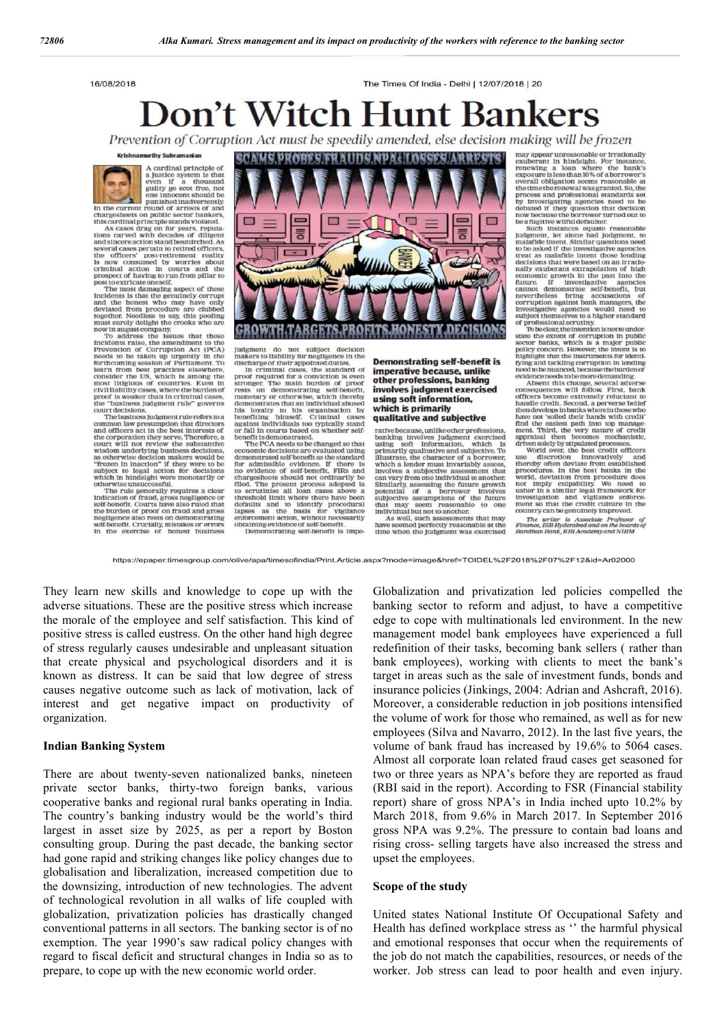16/08/2018

The Times Of India - Delhi | 12/07/2018 | 20

# **Don't Witch Hunt Bankers**

Prevention of Corruption Act must be speedily amended, else decision making will be frozen



Manamuruy suorananan<br>
a cardinal principle of<br>
a cardinal principle of<br>
a lustice system is that<br>
wen if a thousand the<br>
utility go scot free, not<br>
one innocent should be<br>
in the current round of arrests of and<br>
this cardi

musical cases pertain to retired officers,<br>several cases pertain to retired officers,<br>he officers' post-retirement reality<br>s now consumed by worries about<br>riminal action in courts and the  $<sub>tho</sub>$ </sub> criminal action in courts and the<br>prospect of having to run from pillar to post to extricate oneself

post to extricate oneself<br>the most damaging aspect of these inclotents is that the genuinely corrupt<br>and the bonest who may have only deviated from procedure are clubbed<br>together. Needless to say, this pooling<br>must surely

must structure and the crooks who are<br>must strength the crooks who are<br>now in august compary, the strengtheness that these<br>prevention of Corruption Act (PCA)<br>needs to take in up regardly in the prevention of Corruption Act

court will not review the substantive<br>wisdom underlying business decisions,<br>as otherwise decision makers would be<br>"frozen in inaction" if they were to been<br>subject to legal action for decisions which in hindsight were monetarily or otherwise unsuccessful

The rule generally requires a clear Indication of fraud, gross negligence or self-benefit. Courts have also ruled that the burden of proof on fraud and gross ne gligence also rests on demonstrating self-benefit. Crucially, mistakes or errors<br>in the exercise of honest business



Judgment do not subject decision<br>makers to liability for negligence in the<br>discharge of their appointed duties.<br>In criminal cases, the standard of<br>proof required for a conviction is even<br>stronger. The main burden of proof<br>

economic decisions are evaluated using demonstrated self-benefit as the standard for admissible evidence. If there is<br>no evidence of self-benefit, FIRs and chargesheets should not ordinarily be filed. The present process adopted is<br>to scrutinise all loan cases above a threshold limit where there have been defaults and to identify procedural<br>lapses as the basis for vigilance enforcement action, without necessarily obtaining evidence of self-benefit Demonstrating self-benefit is impe

**Demonstrating self-benefit is** imperative because, unlike other professions, banking involves judgment exercised using soft information, which is primarily qualitative and subjective

rative because, unlike other professions banking involv<br>using soft in olves judgment<br>information, banking soft information, which is<br>primarily qualitative and subjective. To<br>illustrate, the character of a borrower, which a lender must invariably a involves a subjective assessment that can vary from one individual to another Similarly, assessing the future growth<br>potential of a borrower involves<br>subjective assumptions of the future that may seem reasonable to one individual but not to another.

As well, such assessments that may have so emed perfectly reasonable at the time when the judgment was exercised FIGUALITY WILL DE JTOZETI<br>
may appear unreasonable or transitonally<br>
exuberant in hindsight. For instance,<br>
renewing a loan where the bank's<br>
exposure bless than 10% of aborrower's<br>
exposure bless than 10% of aborrower's<br>

treat as malafide intent those lending decisions that were based on an irratio nally exuberant extrapolation of high economic growth in the past into the<br>future. If investigative agencies future. future. If investigative agencies<br>cannot demonstrate self-benefit, but nevertheless bring accusations of<br>corruption against bank managers, the

nevertneess oring accusations or<br>corruption against bank managers, the investigative agencies would need to<br>subject themselves to a higher standard of professional scrutiny. The<br>deat the subject themselves to a higher stan driven solely by stipulated proce

World over, the best credit officers<br>discretion innovatively and  $1180$ use discretion innovatively and<br>thereby often deviate from established procedures. In the best banks in the world, deviation from procedure does not imply culpability. We need to<br>usher in a similar legal framework for<br>investigation and vigilance enforcement so that the credit culture in the country can be genuinely improved.

The writer is Associate Professor of<br>Finance, ISB Hyderabad and on the boards of<br>Bandhan Bank, RBI Academy and NIBM

https://epaper.timesgroup.com/olive/apa/timesofindia/Print.Article.aspx?mode=image&href=TOIDEL%2F2018%2F07%2F12&id=Ar02000

They learn new skills and knowledge to cope up with the adverse situations. These are the positive stress which increase the morale of the employee and self satisfaction. This kind of positive stress is called eustress. On the other hand high degree of stress regularly causes undesirable and unpleasant situation that create physical and psychological disorders and it is known as distress. It can be said that low degree of stress causes negative outcome such as lack of motivation, lack of interest and get negative impact on productivity of organization.

## **Indian Banking System**

There are about twenty-seven nationalized banks, nineteen private sector banks, thirty-two foreign banks, various cooperative banks and regional rural banks operating in India. The country's banking industry would be the world's third largest in asset size by 2025, as per a report by Boston consulting group. During the past decade, the banking sector had gone rapid and striking changes like policy changes due to globalisation and liberalization, increased competition due to the downsizing, introduction of new technologies. The advent of technological revolution in all walks of life coupled with globalization, privatization policies has drastically changed conventional patterns in all sectors. The banking sector is of no exemption. The year 1990's saw radical policy changes with regard to fiscal deficit and structural changes in India so as to prepare, to cope up with the new economic world order.

Globalization and privatization led policies compelled the banking sector to reform and adjust, to have a competitive edge to cope with multinationals led environment. In the new management model bank employees have experienced a full redefinition of their tasks, becoming bank sellers ( rather than bank employees), working with clients to meet the bank's target in areas such as the sale of investment funds, bonds and insurance policies (Jinkings, 2004: Adrian and Ashcraft, 2016). Moreover, a considerable reduction in job positions intensified the volume of work for those who remained, as well as for new employees (Silva and Navarro, 2012). In the last five years, the volume of bank fraud has increased by 19.6% to 5064 cases. Almost all corporate loan related fraud cases get seasoned for two or three years as NPA's before they are reported as fraud (RBI said in the report). According to FSR (Financial stability report) share of gross NPA's in India inched upto 10.2% by March 2018, from 9.6% in March 2017. In September 2016 gross NPA was 9.2%. The pressure to contain bad loans and rising cross- selling targets have also increased the stress and upset the employees.

## **Scope of the study**

United states National Institute Of Occupational Safety and Health has defined workplace stress as " the harmful physical and emotional responses that occur when the requirements of the job do not match the capabilities, resources, or needs of the worker. Job stress can lead to poor health and even injury.